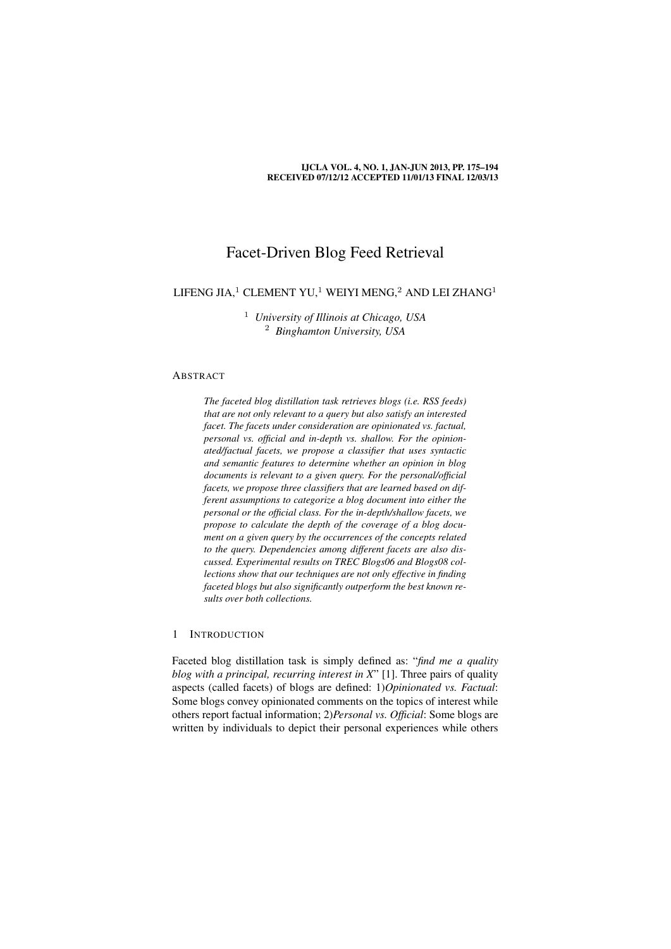#### IJCLA VOL. 4, NO. 1, JAN-JUN 2013, PP. 175–194 RECEIVED 07/12/12 ACCEPTED 11/01/13 FINAL 12/03/13

# Facet-Driven Blog Feed Retrieval

# LIFENG JIA, $1$  CLEMENT YU, $1$  WEIYI MENG, $2$  AND LEI ZHANG $1$

<sup>1</sup> *University of Illinois at Chicago, USA* <sup>2</sup> *Binghamton University, USA*

# ABSTRACT

*The faceted blog distillation task retrieves blogs (i.e. RSS feeds) that are not only relevant to a query but also satisfy an interested facet. The facets under consideration are opinionated vs. factual, personal vs. official and in-depth vs. shallow. For the opinionated/factual facets, we propose a classifier that uses syntactic and semantic features to determine whether an opinion in blog documents is relevant to a given query. For the personal/official facets, we propose three classifiers that are learned based on different assumptions to categorize a blog document into either the personal or the official class. For the in-depth/shallow facets, we propose to calculate the depth of the coverage of a blog document on a given query by the occurrences of the concepts related to the query. Dependencies among different facets are also discussed. Experimental results on TREC Blogs06 and Blogs08 collections show that our techniques are not only effective in finding faceted blogs but also significantly outperform the best known results over both collections.*

# 1 INTRODUCTION

Faceted blog distillation task is simply defined as: "*find me a quality blog with a principal, recurring interest in X*" [1]. Three pairs of quality aspects (called facets) of blogs are defined: 1)*Opinionated vs. Factual*: Some blogs convey opinionated comments on the topics of interest while others report factual information; 2)*Personal vs. Official*: Some blogs are written by individuals to depict their personal experiences while others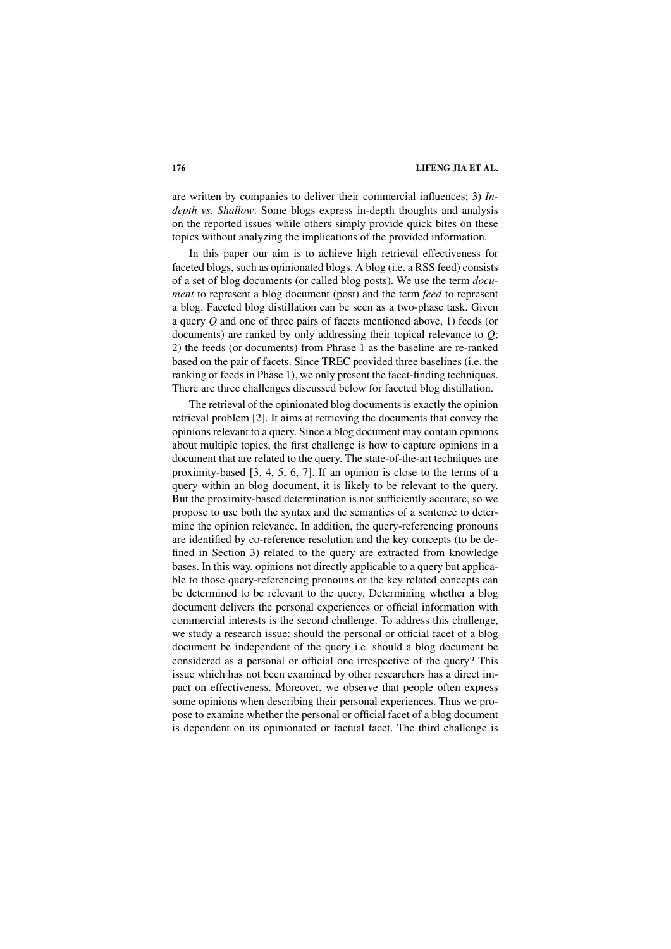are written by companies to deliver their commercial influences; 3) *Indepth vs. Shallow*: Some blogs express in-depth thoughts and analysis on the reported issues while others simply provide quick bites on these topics without analyzing the implications of the provided information.

In this paper our aim is to achieve high retrieval effectiveness for faceted blogs, such as opinionated blogs. A blog (i.e. a RSS feed) consists of a set of blog documents (or called blog posts). We use the term *document* to represent a blog document (post) and the term *feed* to represent a blog. Faceted blog distillation can be seen as a two-phase task. Given a query *Q* and one of three pairs of facets mentioned above, 1) feeds (or documents) are ranked by only addressing their topical relevance to *Q*; 2) the feeds (or documents) from Phrase 1 as the baseline are re-ranked based on the pair of facets. Since TREC provided three baselines (i.e. the ranking of feeds in Phase 1), we only present the facet-finding techniques. There are three challenges discussed below for faceted blog distillation.

The retrieval of the opinionated blog documents is exactly the opinion retrieval problem [2]. It aims at retrieving the documents that convey the opinions relevant to a query. Since a blog document may contain opinions about multiple topics, the first challenge is how to capture opinions in a document that are related to the query. The state-of-the-art techniques are proximity-based [3, 4, 5, 6, 7]. If an opinion is close to the terms of a query within an blog document, it is likely to be relevant to the query. But the proximity-based determination is not sufficiently accurate, so we propose to use both the syntax and the semantics of a sentence to determine the opinion relevance. In addition, the query-referencing pronouns are identified by co-reference resolution and the key concepts (to be defined in Section 3) related to the query are extracted from knowledge bases. In this way, opinions not directly applicable to a query but applicable to those query-referencing pronouns or the key related concepts can be determined to be relevant to the query. Determining whether a blog document delivers the personal experiences or official information with commercial interests is the second challenge. To address this challenge, we study a research issue: should the personal or official facet of a blog document be independent of the query i.e. should a blog document be considered as a personal or official one irrespective of the query? This issue which has not been examined by other researchers has a direct impact on effectiveness. Moreover, we observe that people often express some opinions when describing their personal experiences. Thus we propose to examine whether the personal or official facet of a blog document is dependent on its opinionated or factual facet. The third challenge is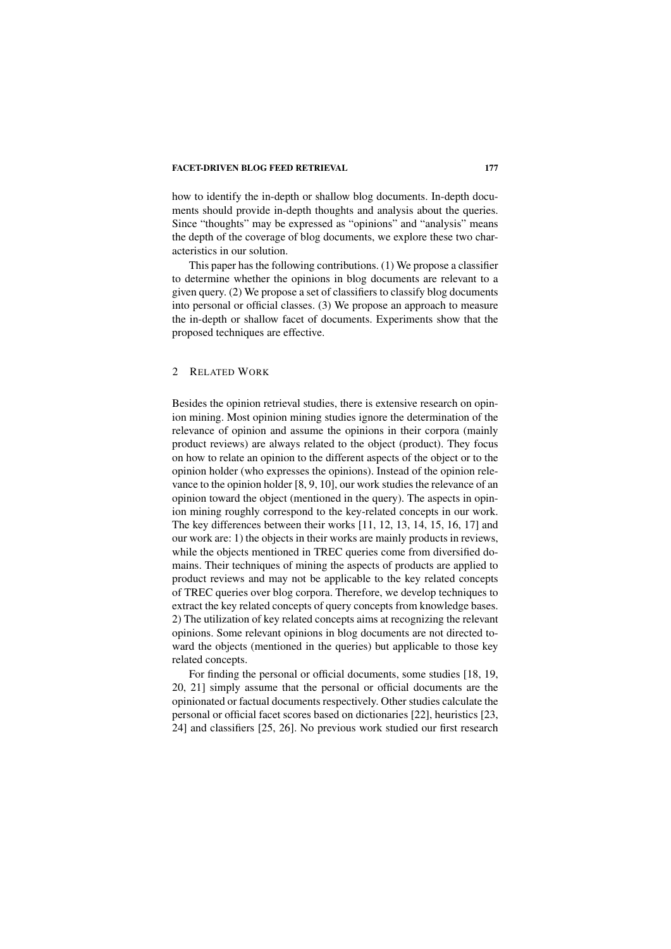how to identify the in-depth or shallow blog documents. In-depth documents should provide in-depth thoughts and analysis about the queries. Since "thoughts" may be expressed as "opinions" and "analysis" means the depth of the coverage of blog documents, we explore these two characteristics in our solution.

This paper has the following contributions. (1) We propose a classifier to determine whether the opinions in blog documents are relevant to a given query. (2) We propose a set of classifiers to classify blog documents into personal or official classes. (3) We propose an approach to measure the in-depth or shallow facet of documents. Experiments show that the proposed techniques are effective.

#### 2 RELATED WORK

Besides the opinion retrieval studies, there is extensive research on opinion mining. Most opinion mining studies ignore the determination of the relevance of opinion and assume the opinions in their corpora (mainly product reviews) are always related to the object (product). They focus on how to relate an opinion to the different aspects of the object or to the opinion holder (who expresses the opinions). Instead of the opinion relevance to the opinion holder [8, 9, 10], our work studies the relevance of an opinion toward the object (mentioned in the query). The aspects in opinion mining roughly correspond to the key-related concepts in our work. The key differences between their works [11, 12, 13, 14, 15, 16, 17] and our work are: 1) the objects in their works are mainly products in reviews, while the objects mentioned in TREC queries come from diversified domains. Their techniques of mining the aspects of products are applied to product reviews and may not be applicable to the key related concepts of TREC queries over blog corpora. Therefore, we develop techniques to extract the key related concepts of query concepts from knowledge bases. 2) The utilization of key related concepts aims at recognizing the relevant opinions. Some relevant opinions in blog documents are not directed toward the objects (mentioned in the queries) but applicable to those key related concepts.

For finding the personal or official documents, some studies [18, 19, 20, 21] simply assume that the personal or official documents are the opinionated or factual documents respectively. Other studies calculate the personal or official facet scores based on dictionaries [22], heuristics [23, 24] and classifiers [25, 26]. No previous work studied our first research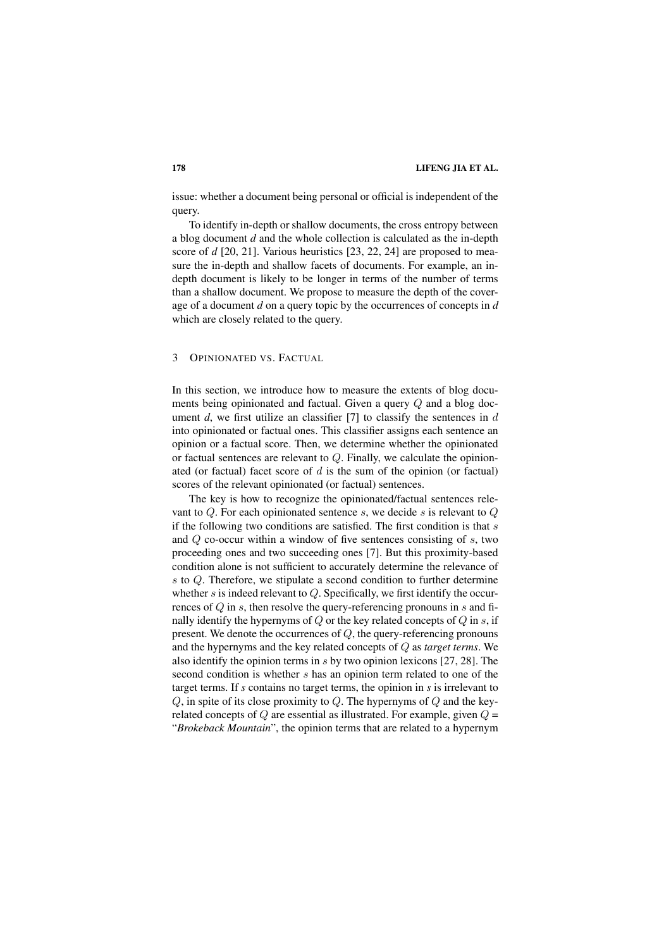issue: whether a document being personal or official is independent of the query.

To identify in-depth or shallow documents, the cross entropy between a blog document *d* and the whole collection is calculated as the in-depth score of *d* [20, 21]. Various heuristics [23, 22, 24] are proposed to measure the in-depth and shallow facets of documents. For example, an indepth document is likely to be longer in terms of the number of terms than a shallow document. We propose to measure the depth of the coverage of a document *d* on a query topic by the occurrences of concepts in *d* which are closely related to the query.

### 3 OPINIONATED VS. FACTUAL

In this section, we introduce how to measure the extents of blog documents being opinionated and factual. Given a query Q and a blog document  $d$ , we first utilize an classifier [7] to classify the sentences in  $d$ into opinionated or factual ones. This classifier assigns each sentence an opinion or a factual score. Then, we determine whether the opinionated or factual sentences are relevant to Q. Finally, we calculate the opinionated (or factual) facet score of  $d$  is the sum of the opinion (or factual) scores of the relevant opinionated (or factual) sentences.

The key is how to recognize the opinionated/factual sentences relevant to  $Q$ . For each opinionated sentence s, we decide s is relevant to  $Q$ if the following two conditions are satisfied. The first condition is that  $s$ and  $Q$  co-occur within a window of five sentences consisting of  $s$ , two proceeding ones and two succeeding ones [7]. But this proximity-based condition alone is not sufficient to accurately determine the relevance of s to Q. Therefore, we stipulate a second condition to further determine whether s is indeed relevant to  $Q$ . Specifically, we first identify the occurrences of  $Q$  in s, then resolve the query-referencing pronouns in s and finally identify the hypernyms of  $Q$  or the key related concepts of  $Q$  in  $s$ , if present. We denote the occurrences of  $Q$ , the query-referencing pronouns and the hypernyms and the key related concepts of Q as *target terms*. We also identify the opinion terms in  $s$  by two opinion lexicons [27, 28]. The second condition is whether s has an opinion term related to one of the target terms. If *s* contains no target terms, the opinion in *s* is irrelevant to  $Q$ , in spite of its close proximity to  $Q$ . The hypernyms of  $Q$  and the keyrelated concepts of  $Q$  are essential as illustrated. For example, given  $Q =$ "*Brokeback Mountain*", the opinion terms that are related to a hypernym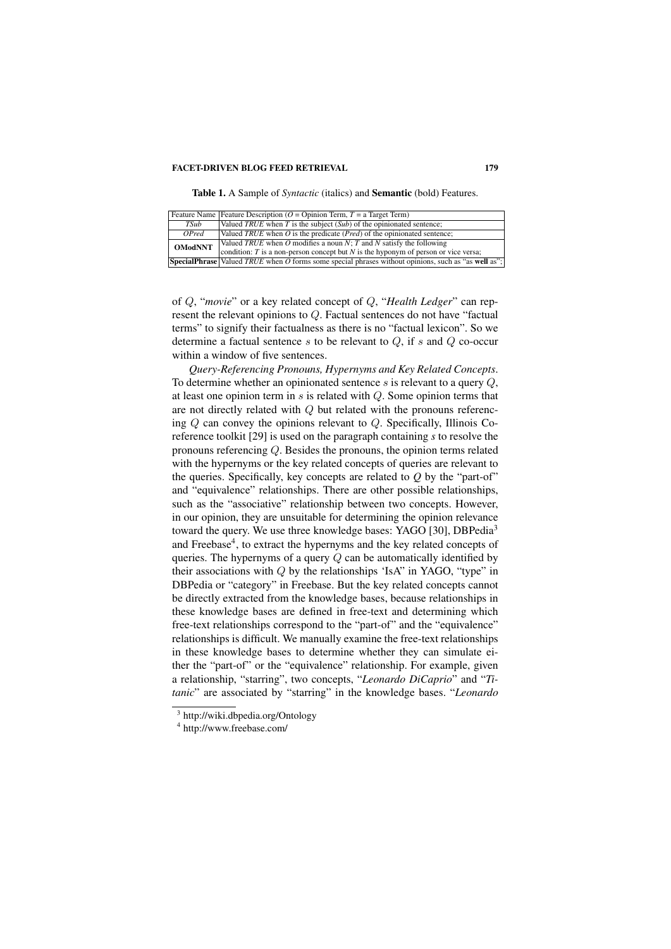Table 1. A Sample of *Syntactic* (italics) and Semantic (bold) Features.

|                     | Feature Name Feature Description ( $O =$ Opinion Term, $T = a$ Target Term)                                                                                   |
|---------------------|---------------------------------------------------------------------------------------------------------------------------------------------------------------|
| TSub                | Valued TRUE when T is the subject $(Sub)$ of the opinionated sentence;                                                                                        |
| $\overline{OP}$ red | Valued TRUE when $O$ is the predicate ( <i>Pred</i> ) of the opinionated sentence;                                                                            |
| <b>OModNNT</b>      | Valued TRUE when O modifies a noun N; T and N satisfy the following<br>condition: $T$ is a non-person concept but $N$ is the hyponym of person or vice versa; |
|                     | <b>SpecialPhrase</b> Valued TRUE when O forms some special phrases without opinions, such as "as well as";                                                    |

of Q, "*movie*" or a key related concept of Q, "*Health Ledger*" can represent the relevant opinions to Q. Factual sentences do not have "factual terms" to signify their factualness as there is no "factual lexicon". So we determine a factual sentence s to be relevant to  $Q$ , if s and  $Q$  co-occur within a window of five sentences.

*Query-Referencing Pronouns, Hypernyms and Key Related Concepts*. To determine whether an opinionated sentence s is relevant to a query  $Q$ , at least one opinion term in  $s$  is related with  $Q$ . Some opinion terms that are not directly related with Q but related with the pronouns referencing  $Q$  can convey the opinions relevant to  $Q$ . Specifically, Illinois Coreference toolkit [29] is used on the paragraph containing *s* to resolve the pronouns referencing Q. Besides the pronouns, the opinion terms related with the hypernyms or the key related concepts of queries are relevant to the queries. Specifically, key concepts are related to *Q* by the "part-of" and "equivalence" relationships. There are other possible relationships, such as the "associative" relationship between two concepts. However, in our opinion, they are unsuitable for determining the opinion relevance toward the query. We use three knowledge bases: YAGO [30], DBPedia<sup>3</sup> and Freebase<sup>4</sup>, to extract the hypernyms and the key related concepts of queries. The hypernyms of a query  $Q$  can be automatically identified by their associations with  $Q$  by the relationships 'IsA" in YAGO, "type" in DBPedia or "category" in Freebase. But the key related concepts cannot be directly extracted from the knowledge bases, because relationships in these knowledge bases are defined in free-text and determining which free-text relationships correspond to the "part-of" and the "equivalence" relationships is difficult. We manually examine the free-text relationships in these knowledge bases to determine whether they can simulate either the "part-of" or the "equivalence" relationship. For example, given a relationship, "starring", two concepts, "*Leonardo DiCaprio*" and "*Titanic*" are associated by "starring" in the knowledge bases. "*Leonardo*

<sup>3</sup> http://wiki.dbpedia.org/Ontology

<sup>4</sup> http://www.freebase.com/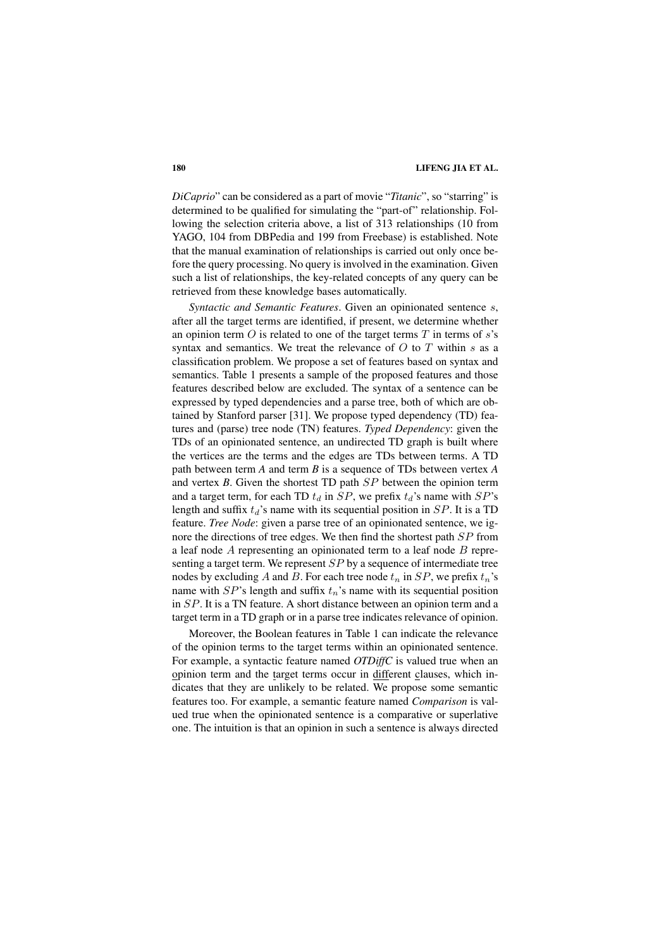*DiCaprio*" can be considered as a part of movie "*Titanic*", so "starring" is determined to be qualified for simulating the "part-of" relationship. Following the selection criteria above, a list of 313 relationships (10 from YAGO, 104 from DBPedia and 199 from Freebase) is established. Note that the manual examination of relationships is carried out only once before the query processing. No query is involved in the examination. Given such a list of relationships, the key-related concepts of any query can be retrieved from these knowledge bases automatically.

*Syntactic and Semantic Features*. Given an opinionated sentence s, after all the target terms are identified, if present, we determine whether an opinion term  $O$  is related to one of the target terms  $T$  in terms of  $s$ 's syntax and semantics. We treat the relevance of  $O$  to  $T$  within  $s$  as a classification problem. We propose a set of features based on syntax and semantics. Table 1 presents a sample of the proposed features and those features described below are excluded. The syntax of a sentence can be expressed by typed dependencies and a parse tree, both of which are obtained by Stanford parser [31]. We propose typed dependency (TD) features and (parse) tree node (TN) features. *Typed Dependency*: given the TDs of an opinionated sentence, an undirected TD graph is built where the vertices are the terms and the edges are TDs between terms. A TD path between term *A* and term *B* is a sequence of TDs between vertex *A* and vertex *B*. Given the shortest TD path SP between the opinion term and a target term, for each TD  $t_d$  in  $SP$ , we prefix  $t_d$ 's name with  $SP$ 's length and suffix  $t_d$ 's name with its sequential position in  $SP$ . It is a TD feature. *Tree Node*: given a parse tree of an opinionated sentence, we ignore the directions of tree edges. We then find the shortest path SP from a leaf node  $\ddot{A}$  representing an opinionated term to a leaf node  $\ddot{B}$  representing a target term. We represent SP by a sequence of intermediate tree nodes by excluding A and B. For each tree node  $t_n$  in  $SP$ , we prefix  $t_n$ 's name with  $SP$ 's length and suffix  $t_n$ 's name with its sequential position in SP. It is a TN feature. A short distance between an opinion term and a target term in a TD graph or in a parse tree indicates relevance of opinion.

Moreover, the Boolean features in Table 1 can indicate the relevance of the opinion terms to the target terms within an opinionated sentence. For example, a syntactic feature named *OTDiffC* is valued true when an opinion term and the target terms occur in different clauses, which indicates that they are unlikely to be related. We propose some semantic features too. For example, a semantic feature named *Comparison* is valued true when the opinionated sentence is a comparative or superlative one. The intuition is that an opinion in such a sentence is always directed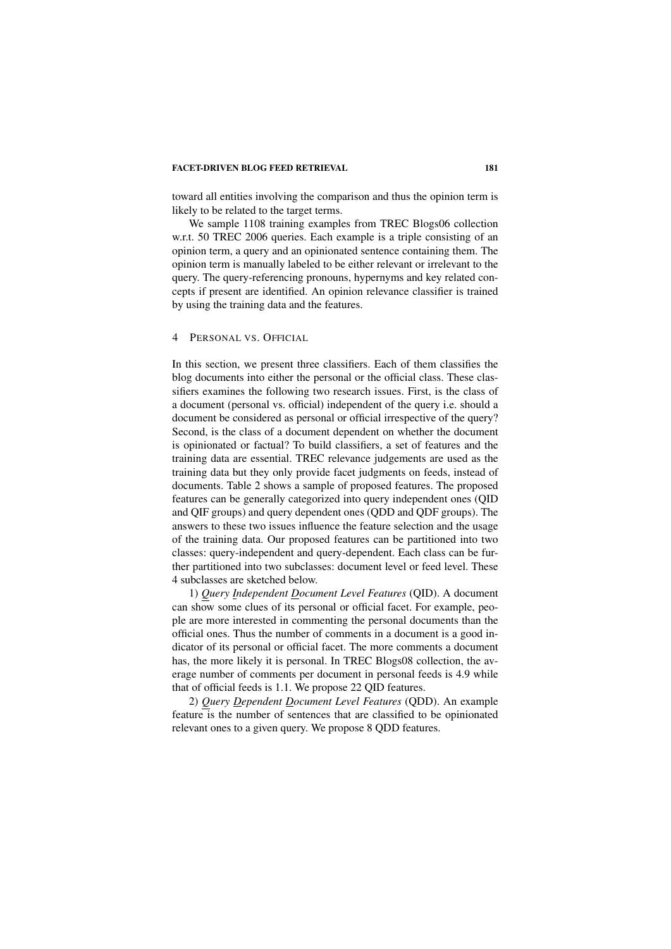toward all entities involving the comparison and thus the opinion term is likely to be related to the target terms.

We sample 1108 training examples from TREC Blogs06 collection w.r.t. 50 TREC 2006 queries. Each example is a triple consisting of an opinion term, a query and an opinionated sentence containing them. The opinion term is manually labeled to be either relevant or irrelevant to the query. The query-referencing pronouns, hypernyms and key related concepts if present are identified. An opinion relevance classifier is trained by using the training data and the features.

#### 4 PERSONAL VS. OFFICIAL

In this section, we present three classifiers. Each of them classifies the blog documents into either the personal or the official class. These classifiers examines the following two research issues. First, is the class of a document (personal vs. official) independent of the query i.e. should a document be considered as personal or official irrespective of the query? Second, is the class of a document dependent on whether the document is opinionated or factual? To build classifiers, a set of features and the training data are essential. TREC relevance judgements are used as the training data but they only provide facet judgments on feeds, instead of documents. Table 2 shows a sample of proposed features. The proposed features can be generally categorized into query independent ones (QID and QIF groups) and query dependent ones (QDD and QDF groups). The answers to these two issues influence the feature selection and the usage of the training data. Our proposed features can be partitioned into two classes: query-independent and query-dependent. Each class can be further partitioned into two subclasses: document level or feed level. These 4 subclasses are sketched below.

1) *Query Independent Document Level Features* (QID). A document can show some clues of its personal or official facet. For example, people are more interested in commenting the personal documents than the official ones. Thus the number of comments in a document is a good indicator of its personal or official facet. The more comments a document has, the more likely it is personal. In TREC Blogs08 collection, the average number of comments per document in personal feeds is 4.9 while that of official feeds is 1.1. We propose 22 QID features.

2) *Query Dependent Document Level Features* (QDD). An example feature is the number of sentences that are classified to be opinionated relevant ones to a given query. We propose 8 QDD features.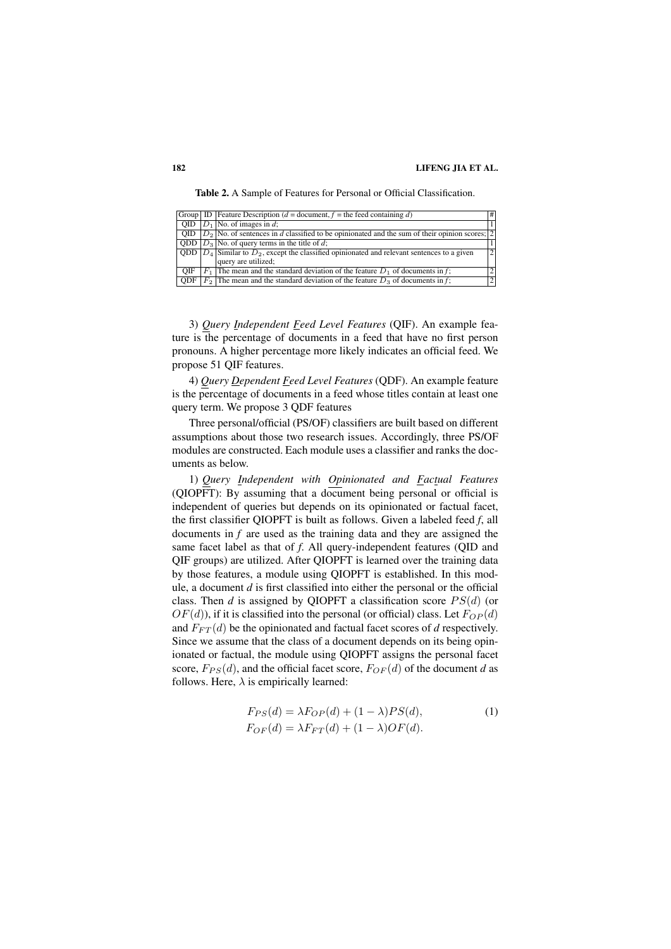Table 2. A Sample of Features for Personal or Official Classification.

|            | Group ID Feature Description ( $d =$ document, $f =$ the feed containing d)                           | #              |
|------------|-------------------------------------------------------------------------------------------------------|----------------|
|            | QID $ D_1 $ No. of images in d;                                                                       |                |
|            | OID $ D_2 $ No. of sentences in d classified to be opinionated and the sum of their opinion scores; 2 |                |
|            | QDD $ D_3 $ No. of query terms in the title of d;                                                     |                |
|            | QDD $ D_4 $ Similar to $D_2$ , except the classified opinionated and relevant sentences to a given    | $\overline{2}$ |
|            | query are utilized;                                                                                   |                |
| OIF        | $F_1$ The mean and the standard deviation of the feature $D_1$ of documents in f;                     | 2 <sup>1</sup> |
| <b>ODF</b> | $F_2$ The mean and the standard deviation of the feature $D_3$ of documents in f;                     | $\overline{2}$ |

3) *Query Independent Feed Level Features* (QIF). An example feature is the percentage of documents in a feed that have no first person pronouns. A higher percentage more likely indicates an official feed. We propose 51 QIF features.

4) *Query Dependent Feed Level Features* (QDF). An example feature is the percentage of documents in a feed whose titles contain at least one query term. We propose 3 QDF features

Three personal/official (PS/OF) classifiers are built based on different assumptions about those two research issues. Accordingly, three PS/OF modules are constructed. Each module uses a classifier and ranks the documents as below.

1) *Query Independent with Opinionated and Factual Features* (QIOPFT): By assuming that a document being personal or official is independent of queries but depends on its opinionated or factual facet, the first classifier QIOPFT is built as follows. Given a labeled feed *f*, all documents in *f* are used as the training data and they are assigned the same facet label as that of *f*. All query-independent features (QID and QIF groups) are utilized. After QIOPFT is learned over the training data by those features, a module using QIOPFT is established. In this module, a document *d* is first classified into either the personal or the official class. Then *d* is assigned by QIOPFT a classification score  $PS(d)$  (or  $OF(d)$ ), if it is classified into the personal (or official) class. Let  $F_{OP}(d)$ and  $F_{FT}(d)$  be the opinionated and factual facet scores of d respectively. Since we assume that the class of a document depends on its being opinionated or factual, the module using QIOPFT assigns the personal facet score,  $F_{PS}(d)$ , and the official facet score,  $F_{OF}(d)$  of the document *d* as follows. Here,  $\lambda$  is empirically learned:

$$
F_{PS}(d) = \lambda F_{OP}(d) + (1 - \lambda)PS(d),
$$
  
\n
$$
F_{OF}(d) = \lambda F_{FT}(d) + (1 - \lambda)OF(d).
$$
\n(1)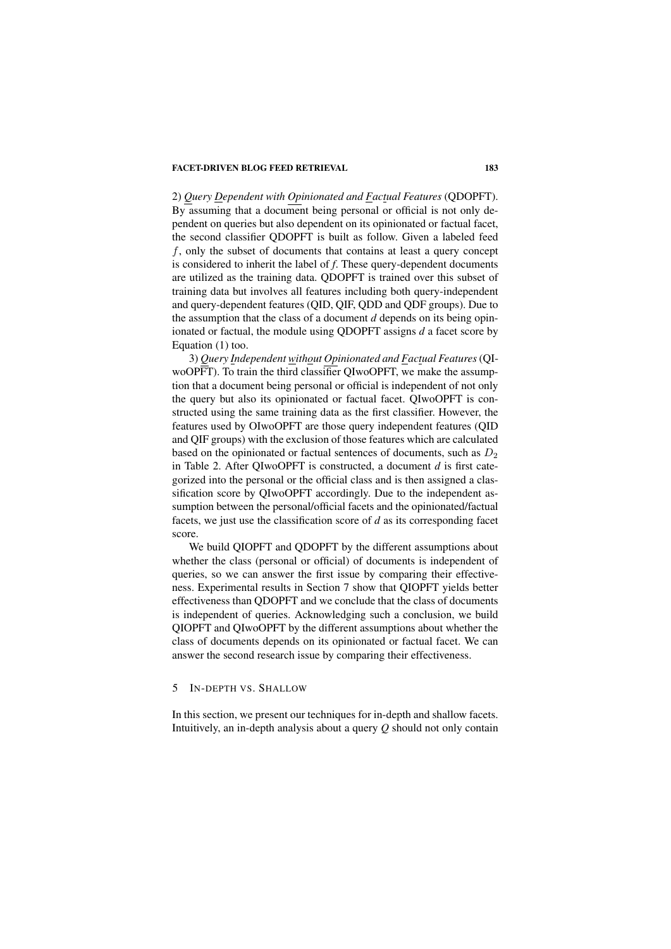2) *Query Dependent with Opinionated and Factual Features* (QDOPFT). By assuming that a document being personal or official is not only dependent on queries but also dependent on its opinionated or factual facet, the second classifier QDOPFT is built as follow. Given a labeled feed f, only the subset of documents that contains at least a query concept is considered to inherit the label of *f*. These query-dependent documents are utilized as the training data. QDOPFT is trained over this subset of training data but involves all features including both query-independent and query-dependent features (QID, QIF, QDD and QDF groups). Due to the assumption that the class of a document *d* depends on its being opinionated or factual, the module using QDOPFT assigns *d* a facet score by Equation (1) too.

3) *Query Independent without Opinionated and Factual Features*(QIwoOPFT). To train the third classifier QIwoOPFT, we make the assumption that a document being personal or official is independent of not only the query but also its opinionated or factual facet. QIwoOPFT is constructed using the same training data as the first classifier. However, the features used by OIwoOPFT are those query independent features (QID and QIF groups) with the exclusion of those features which are calculated based on the opinionated or factual sentences of documents, such as  $D_2$ in Table 2. After QIwoOPFT is constructed, a document *d* is first categorized into the personal or the official class and is then assigned a classification score by QIwoOPFT accordingly. Due to the independent assumption between the personal/official facets and the opinionated/factual facets, we just use the classification score of *d* as its corresponding facet score.

We build QIOPFT and QDOPFT by the different assumptions about whether the class (personal or official) of documents is independent of queries, so we can answer the first issue by comparing their effectiveness. Experimental results in Section 7 show that QIOPFT yields better effectiveness than QDOPFT and we conclude that the class of documents is independent of queries. Acknowledging such a conclusion, we build QIOPFT and QIwoOPFT by the different assumptions about whether the class of documents depends on its opinionated or factual facet. We can answer the second research issue by comparing their effectiveness.

#### 5 IN-DEPTH VS. SHALLOW

In this section, we present our techniques for in-depth and shallow facets. Intuitively, an in-depth analysis about a query *Q* should not only contain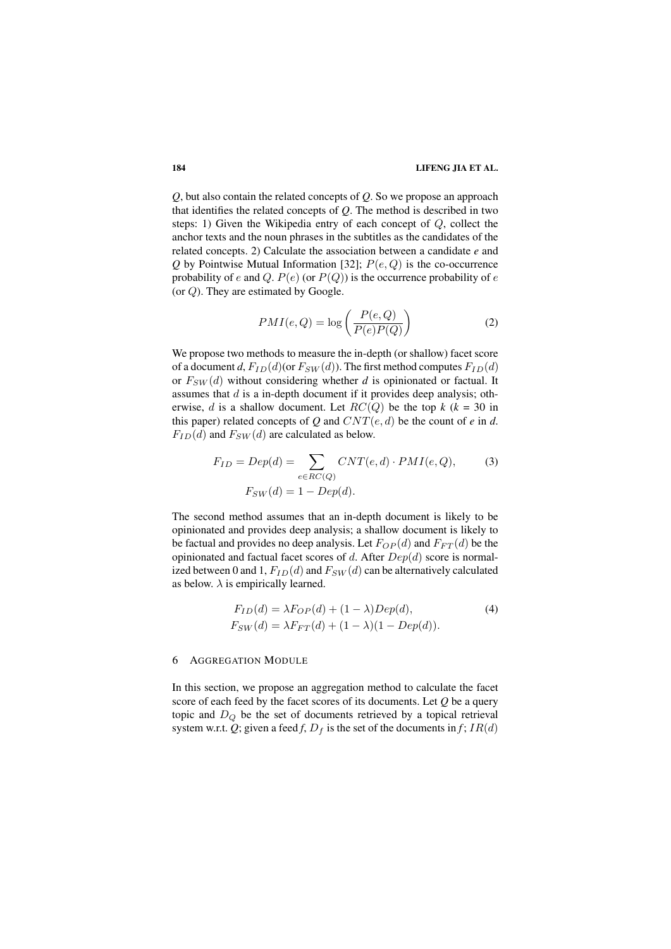*Q*, but also contain the related concepts of *Q*. So we propose an approach that identifies the related concepts of *Q*. The method is described in two steps: 1) Given the Wikipedia entry of each concept of Q, collect the anchor texts and the noun phrases in the subtitles as the candidates of the related concepts. 2) Calculate the association between a candidate *e* and  $Q$  by Pointwise Mutual Information [32];  $P(e, Q)$  is the co-occurrence probability of e and Q.  $P(e)$  (or  $P(Q)$ ) is the occurrence probability of e (or  $Q$ ). They are estimated by Google.

$$
PMI(e,Q) = \log\left(\frac{P(e,Q)}{P(e)P(Q)}\right)
$$
 (2)

We propose two methods to measure the in-depth (or shallow) facet score of a document *d*,  $F_{ID}(d)$  (or  $F_{SW}(d)$ ). The first method computes  $F_{ID}(d)$ or  $F_{SW}(d)$  without considering whether *d* is opinionated or factual. It assumes that  $d$  is a in-depth document if it provides deep analysis; otherwise, d is a shallow document. Let  $RC(Q)$  be the top  $k$  ( $k = 30$  in this paper) related concepts of *Q* and  $CNT(e, d)$  be the count of *e* in *d*.  $F_{ID}(d)$  and  $F_{SW}(d)$  are calculated as below.

$$
F_{ID} = Dep(d) = \sum_{e \in RC(Q)} CNT(e, d) \cdot PMI(e, Q),
$$
\n
$$
F_{SW}(d) = 1 - Dep(d).
$$
\n(3)

The second method assumes that an in-depth document is likely to be opinionated and provides deep analysis; a shallow document is likely to be factual and provides no deep analysis. Let  $F_{OP}(d)$  and  $F_{FT}(d)$  be the opinionated and factual facet scores of d. After  $Dep(d)$  score is normalized between 0 and 1,  $F_{ID}(d)$  and  $F_{SW}(d)$  can be alternatively calculated as below.  $\lambda$  is empirically learned.

$$
F_{ID}(d) = \lambda F_{OP}(d) + (1 - \lambda)Dep(d),
$$
  
\n
$$
F_{SW}(d) = \lambda F_{FT}(d) + (1 - \lambda)(1 - Dep(d)).
$$
\n(4)

#### 6 AGGREGATION MODULE

In this section, we propose an aggregation method to calculate the facet score of each feed by the facet scores of its documents. Let *Q* be a query topic and  $D_Q$  be the set of documents retrieved by a topical retrieval system w.r.t. Q; given a feed *f*,  $D_f$  is the set of the documents in *f*; IR(d)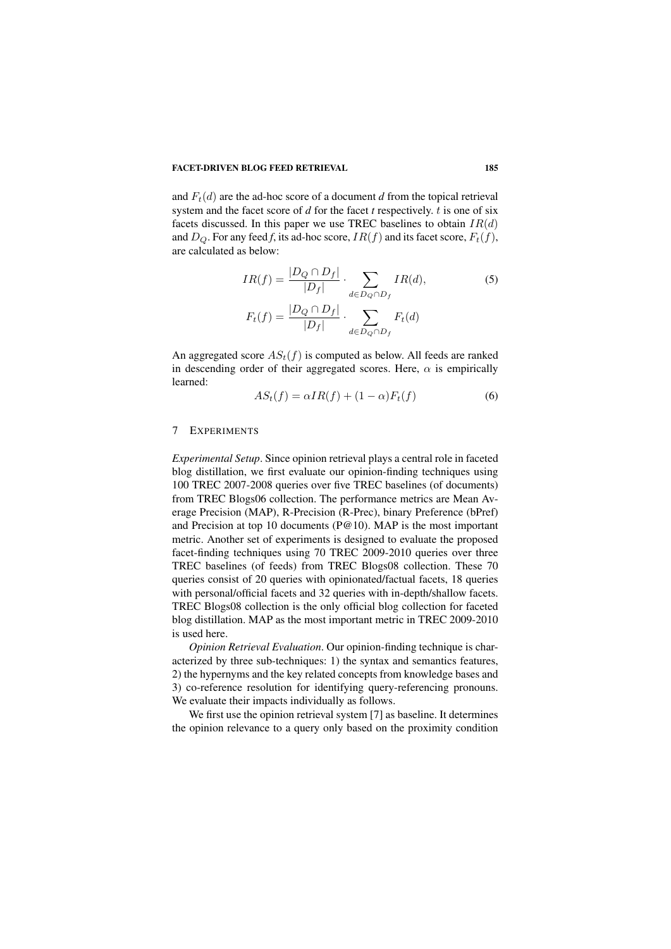and  $F_t(d)$  are the ad-hoc score of a document *d* from the topical retrieval system and the facet score of *d* for the facet *t* respectively. t is one of six facets discussed. In this paper we use TREC baselines to obtain  $IR(d)$ and  $D_Q$ . For any feed f, its ad-hoc score,  $IR(f)$  and its facet score,  $F_t(f)$ , are calculated as below:

$$
IR(f) = \frac{|D_Q \cap D_f|}{|D_f|} \cdot \sum_{d \in D_Q \cap D_f} IR(d),
$$
\n
$$
F_t(f) = \frac{|D_Q \cap D_f|}{|D_f|} \cdot \sum_{d \in D_Q \cap D_f} F_t(d)
$$
\n(5)

An aggregated score  $AS_t(f)$  is computed as below. All feeds are ranked in descending order of their aggregated scores. Here,  $\alpha$  is empirically learned:

$$
AS_t(f) = \alpha IR(f) + (1 - \alpha)F_t(f) \tag{6}
$$

#### 7 EXPERIMENTS

*Experimental Setup*. Since opinion retrieval plays a central role in faceted blog distillation, we first evaluate our opinion-finding techniques using 100 TREC 2007-2008 queries over five TREC baselines (of documents) from TREC Blogs06 collection. The performance metrics are Mean Average Precision (MAP), R-Precision (R-Prec), binary Preference (bPref) and Precision at top 10 documents (P@10). MAP is the most important metric. Another set of experiments is designed to evaluate the proposed facet-finding techniques using 70 TREC 2009-2010 queries over three TREC baselines (of feeds) from TREC Blogs08 collection. These 70 queries consist of 20 queries with opinionated/factual facets, 18 queries with personal/official facets and 32 queries with in-depth/shallow facets. TREC Blogs08 collection is the only official blog collection for faceted blog distillation. MAP as the most important metric in TREC 2009-2010 is used here.

*Opinion Retrieval Evaluation*. Our opinion-finding technique is characterized by three sub-techniques: 1) the syntax and semantics features, 2) the hypernyms and the key related concepts from knowledge bases and 3) co-reference resolution for identifying query-referencing pronouns. We evaluate their impacts individually as follows.

We first use the opinion retrieval system [7] as baseline. It determines the opinion relevance to a query only based on the proximity condition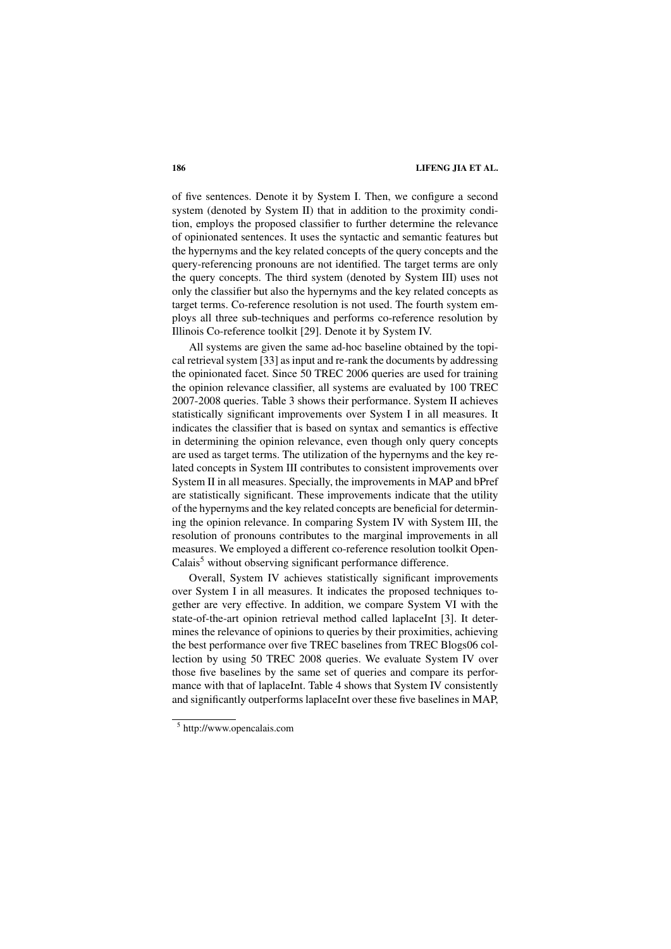of five sentences. Denote it by System I. Then, we configure a second system (denoted by System II) that in addition to the proximity condition, employs the proposed classifier to further determine the relevance of opinionated sentences. It uses the syntactic and semantic features but the hypernyms and the key related concepts of the query concepts and the query-referencing pronouns are not identified. The target terms are only the query concepts. The third system (denoted by System III) uses not only the classifier but also the hypernyms and the key related concepts as target terms. Co-reference resolution is not used. The fourth system employs all three sub-techniques and performs co-reference resolution by Illinois Co-reference toolkit [29]. Denote it by System IV.

All systems are given the same ad-hoc baseline obtained by the topical retrieval system [33] as input and re-rank the documents by addressing the opinionated facet. Since 50 TREC 2006 queries are used for training the opinion relevance classifier, all systems are evaluated by 100 TREC 2007-2008 queries. Table 3 shows their performance. System II achieves statistically significant improvements over System I in all measures. It indicates the classifier that is based on syntax and semantics is effective in determining the opinion relevance, even though only query concepts are used as target terms. The utilization of the hypernyms and the key related concepts in System III contributes to consistent improvements over System II in all measures. Specially, the improvements in MAP and bPref are statistically significant. These improvements indicate that the utility of the hypernyms and the key related concepts are beneficial for determining the opinion relevance. In comparing System IV with System III, the resolution of pronouns contributes to the marginal improvements in all measures. We employed a different co-reference resolution toolkit Open- $Calais<sup>5</sup>$  without observing significant performance difference.

Overall, System IV achieves statistically significant improvements over System I in all measures. It indicates the proposed techniques together are very effective. In addition, we compare System VI with the state-of-the-art opinion retrieval method called laplaceInt [3]. It determines the relevance of opinions to queries by their proximities, achieving the best performance over five TREC baselines from TREC Blogs06 collection by using 50 TREC 2008 queries. We evaluate System IV over those five baselines by the same set of queries and compare its performance with that of laplaceInt. Table 4 shows that System IV consistently and significantly outperforms laplaceInt over these five baselines in MAP,

<sup>5</sup> http://www.opencalais.com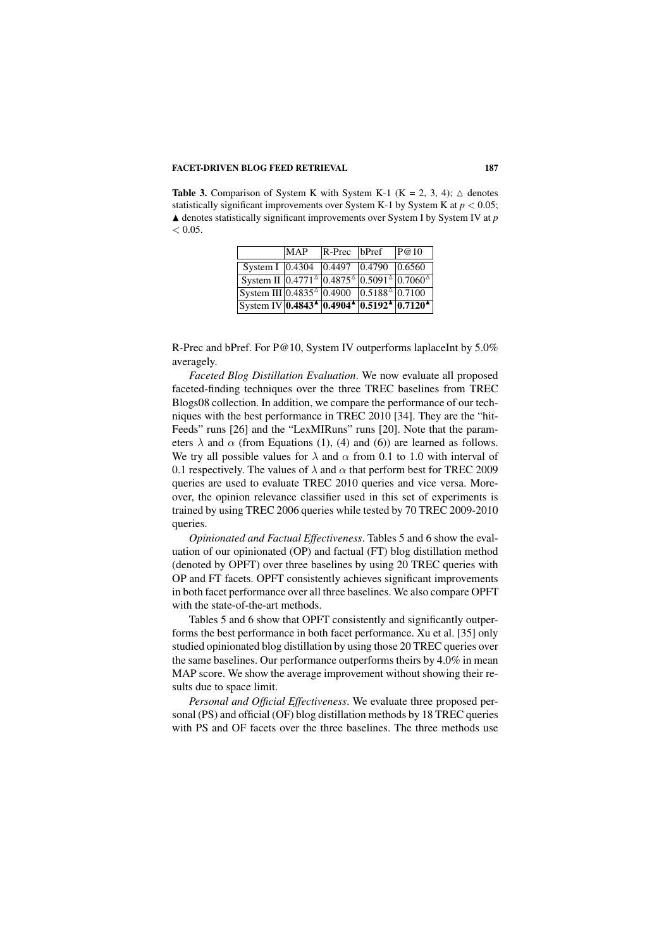**Table 3.** Comparison of System K with System K-1 (K = 2, 3, 4);  $\triangle$  denotes statistically significant improvements over System K-1 by System K at  $p < 0.05$ ;  $\triangle$  denotes statistically significant improvements over System I by System IV at *p*  $< 0.05$ .

|                                                                                                                                           | <b>MAP</b> | $R$ -Prec   bPref | P@10 |
|-------------------------------------------------------------------------------------------------------------------------------------------|------------|-------------------|------|
| System I 0.4304 0.4497 0.4790 0.6560                                                                                                      |            |                   |      |
| System II $0.4771^{\circ}$ 0.4875 <sup><math>\circ</math></sup> 0.5091 <sup><math>\circ</math></sup> 0.7060 <sup><math>\circ</math></sup> |            |                   |      |
| System III $0.4835^{\text{A}}$ 0.4900 $0.5188^{\text{A}}$ 0.7100                                                                          |            |                   |      |
| System IV 0.4843 <sup>4</sup> 0.4904 <sup>4</sup> 0.5192 <sup>4</sup> 0.7120 <sup>4</sup>                                                 |            |                   |      |

R-Prec and bPref. For P@10, System IV outperforms laplaceInt by 5.0% averagely.

*Faceted Blog Distillation Evaluation*. We now evaluate all proposed faceted-finding techniques over the three TREC baselines from TREC Blogs08 collection. In addition, we compare the performance of our techniques with the best performance in TREC 2010 [34]. They are the "hit-Feeds" runs [26] and the "LexMIRuns" runs [20]. Note that the parameters  $\lambda$  and  $\alpha$  (from Equations (1), (4) and (6)) are learned as follows. We try all possible values for  $\lambda$  and  $\alpha$  from 0.1 to 1.0 with interval of 0.1 respectively. The values of  $\lambda$  and  $\alpha$  that perform best for TREC 2009 queries are used to evaluate TREC 2010 queries and vice versa. Moreover, the opinion relevance classifier used in this set of experiments is trained by using TREC 2006 queries while tested by 70 TREC 2009-2010 queries.

*Opinionated and Factual Effectiveness*. Tables 5 and 6 show the evaluation of our opinionated (OP) and factual (FT) blog distillation method (denoted by OPFT) over three baselines by using 20 TREC queries with OP and FT facets. OPFT consistently achieves significant improvements in both facet performance over all three baselines. We also compare OPFT with the state-of-the-art methods.

Tables 5 and 6 show that OPFT consistently and significantly outperforms the best performance in both facet performance. Xu et al. [35] only studied opinionated blog distillation by using those 20 TREC queries over the same baselines. Our performance outperforms theirs by 4.0% in mean MAP score. We show the average improvement without showing their results due to space limit.

*Personal and Official Effectiveness*. We evaluate three proposed personal (PS) and official (OF) blog distillation methods by 18 TREC queries with PS and OF facets over the three baselines. The three methods use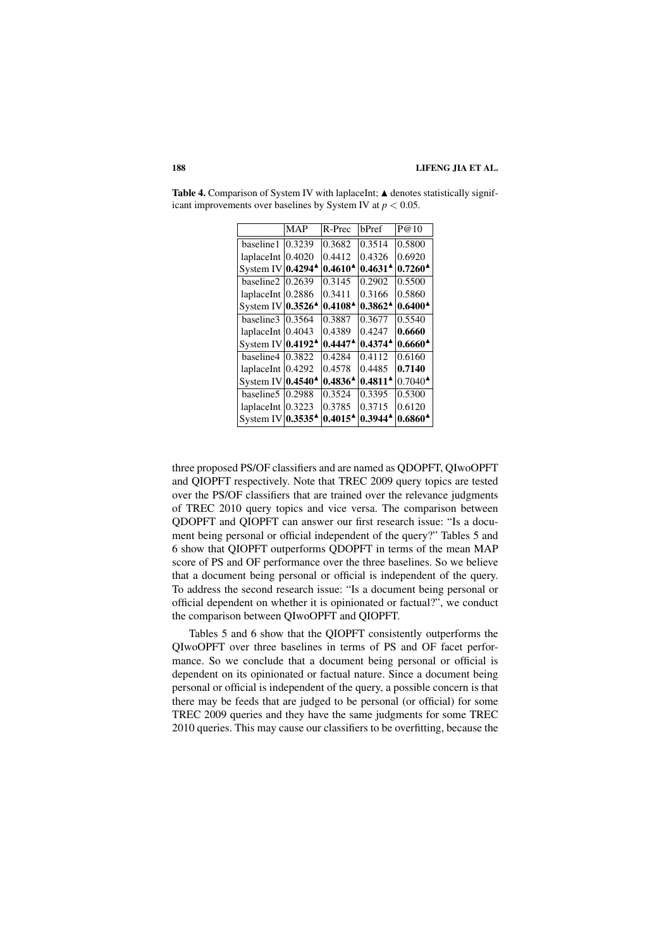|                                                                                                                                                                                                                                                                                                                                                                                                                                                                                                                                 | bPref                                      | P@10                            |
|---------------------------------------------------------------------------------------------------------------------------------------------------------------------------------------------------------------------------------------------------------------------------------------------------------------------------------------------------------------------------------------------------------------------------------------------------------------------------------------------------------------------------------|--------------------------------------------|---------------------------------|
| 0.3682                                                                                                                                                                                                                                                                                                                                                                                                                                                                                                                          | 0.3514                                     | 0.5800                          |
| 0.4412                                                                                                                                                                                                                                                                                                                                                                                                                                                                                                                          | 0.4326                                     | 0.6920                          |
| $0.4610^{\AA}$                                                                                                                                                                                                                                                                                                                                                                                                                                                                                                                  | $0.4631^{\textstyle \Delta}$               | $0.7260$ <sup>2</sup>           |
| 0.3145                                                                                                                                                                                                                                                                                                                                                                                                                                                                                                                          | 0.2902                                     | 0.5500                          |
| 0.3411                                                                                                                                                                                                                                                                                                                                                                                                                                                                                                                          | 0.3166                                     | 0.5860                          |
| $0.4108^{\textstyle \Delta}$                                                                                                                                                                                                                                                                                                                                                                                                                                                                                                    | $0.3862^{\textstyle\blacktriangle}$        | $0.6400^{\star}$                |
| 0.3887                                                                                                                                                                                                                                                                                                                                                                                                                                                                                                                          | 0.3677                                     | 0.5540                          |
| 0.4389                                                                                                                                                                                                                                                                                                                                                                                                                                                                                                                          | 0.4247                                     | 0.6660                          |
| $0.4447$ <sup><math>\triangle</math></sup>                                                                                                                                                                                                                                                                                                                                                                                                                                                                                      | $0.4374$ <sup><math>\triangle</math></sup> | 0.6660'                         |
| 0.4284                                                                                                                                                                                                                                                                                                                                                                                                                                                                                                                          | 0.4112                                     | 0.6160                          |
| 0.4578                                                                                                                                                                                                                                                                                                                                                                                                                                                                                                                          | 0.4485                                     | 0.7140                          |
| $0.4836^{\AA}$                                                                                                                                                                                                                                                                                                                                                                                                                                                                                                                  | $0.4811$ <sup><math>\triangle</math></sup> | $0.7040^{\textstyle \triangle}$ |
| 0.3524                                                                                                                                                                                                                                                                                                                                                                                                                                                                                                                          | 0.3395                                     | 0.5300                          |
| 0.3785                                                                                                                                                                                                                                                                                                                                                                                                                                                                                                                          | 0.3715                                     | 0.6120                          |
| $0.4015^{\textstyle \Delta}$                                                                                                                                                                                                                                                                                                                                                                                                                                                                                                    | $0.3944$ <sup><math>\triangle</math></sup> | 0.6860                          |
| <b>MAP</b><br>$ 0.3239\rangle$<br>laplaceInt   0.4020<br>System IV $ 0.4294$ <sup><math>\triangle</math></sup><br>baseline $2 \mid 0.2639$<br>laplaceInt $ 0.2886$<br>System IV $ 0.3526^{\textstyle\blacktriangle}$<br>baseline $3 0.3564$<br>laplaceInt $ 0.4043$<br>System IV $0.4192$ <sup><math>\triangle</math></sup><br>baseline $4 \mid 0.3822$<br>laplaceInt $ 0.4292$<br>System IV $ 0.4540^{\triangle}$<br>baseline $5 \mid 0.2988$<br>laplaceInt $ 0.3223$<br>System IV $ 0.3535$ <sup><math>\triangle</math></sup> | R-Prec                                     |                                 |

Table 4. Comparison of System IV with laplaceInt;  $\triangle$  denotes statistically significant improvements over baselines by System IV at  $p < 0.05$ .

three proposed PS/OF classifiers and are named as QDOPFT, QIwoOPFT and QIOPFT respectively. Note that TREC 2009 query topics are tested over the PS/OF classifiers that are trained over the relevance judgments of TREC 2010 query topics and vice versa. The comparison between QDOPFT and QIOPFT can answer our first research issue: "Is a document being personal or official independent of the query?" Tables 5 and 6 show that QIOPFT outperforms QDOPFT in terms of the mean MAP score of PS and OF performance over the three baselines. So we believe that a document being personal or official is independent of the query. To address the second research issue: "Is a document being personal or official dependent on whether it is opinionated or factual?", we conduct the comparison between QIwoOPFT and QIOPFT.

Tables 5 and 6 show that the QIOPFT consistently outperforms the QIwoOPFT over three baselines in terms of PS and OF facet performance. So we conclude that a document being personal or official is dependent on its opinionated or factual nature. Since a document being personal or official is independent of the query, a possible concern is that there may be feeds that are judged to be personal (or official) for some TREC 2009 queries and they have the same judgments for some TREC 2010 queries. This may cause our classifiers to be overfitting, because the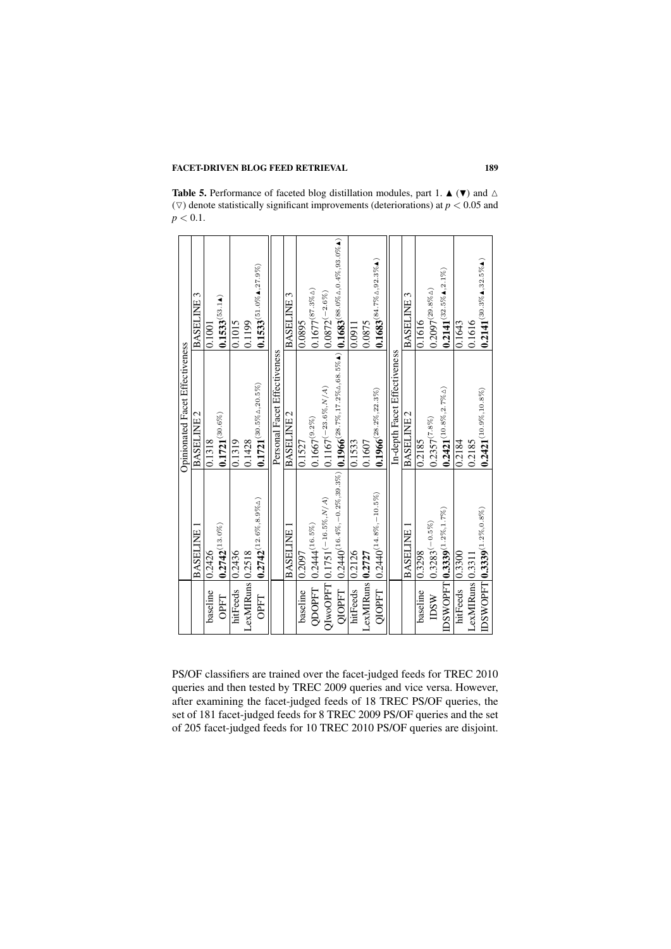**Table 5.** Performance of faceted blog distillation modules, part 1.  $\triangle (\triangledown)$  and  $\triangle$ ( $\nabla$ ) denote statistically significant improvements (deteriorations) at  $p < 0.05$  and  $p < 0.1$ .

|                        |                                                  | Opinionated Facet Effectiveness                                                                                                                   |                                         |
|------------------------|--------------------------------------------------|---------------------------------------------------------------------------------------------------------------------------------------------------|-----------------------------------------|
|                        | <b>BASELINE</b>                                  | BASELINE 2                                                                                                                                        | BASELINE 3                              |
| baseline               | 0.2426                                           | 0.1318                                                                                                                                            | 0.1001                                  |
| OPFT                   | $0.2742^{(13.0\%)}$                              | $0.1721^{(30.6\%)}$                                                                                                                               | $0.1533^{(53.14)}$                      |
| hitFeeds               | 0.2436                                           | 0.1319                                                                                                                                            | 0.1015                                  |
| LexMIRuns 0.2518       |                                                  | 0.1428                                                                                                                                            | 0.1199                                  |
| <b>OPFT</b>            | $0.2742^{(12.6\%, 8.9\% \Delta)}$                | $0.1721^{(30.5\% \Delta, 20.5\%)}$                                                                                                                | $0.1533^{(51.0\%4,27.9\%)}$             |
|                        |                                                  | Personal Facet Effectiveness                                                                                                                      |                                         |
|                        | <b>BASELINE</b>                                  | BASELINE 2                                                                                                                                        | BASELINE 3                              |
| baseline               | 0.2097                                           | 0.1527                                                                                                                                            | 0.0895                                  |
| QDOPFT                 | $0.2444(16.5\%)$                                 | $0.1667^{(9.2\%)}$                                                                                                                                | $0.1677^{(87.3\% \Delta)}$              |
|                        | $QIwOOPT$ $ 0.1751^{(-16.5\%, N/A)}$             | $0.1167^{(-23.6\%,N/A)}$                                                                                                                          | $0.0872^{\left(-2.6\% \right)}$         |
| OIOPFT                 |                                                  | $\left  0.2440^{(16.4\%, -0.2\%, 39.3\%)} 0.1966^{(28.7\%, 17.2\% \Delta, 68.5\% \Delta)} 0.1683^{(88.0\% \Delta, 0.4\%, 93.0\% \Delta)} \right $ |                                         |
| hitFeeds               | 0.2126                                           | 0.1533                                                                                                                                            | 0.0911                                  |
| $LexMIRums$   $0.2727$ |                                                  | 0.1607                                                                                                                                            | 0.0875                                  |
| QIOPFT                 | $ 0.2440^{(14.8\%,-10.5\%)}$                     | $0.1966^{(28.2\%, 22.3\%)}$                                                                                                                       | $0.1683^{(84.7\%\Delta, 92.3\%\Delta)}$ |
|                        |                                                  | In-depth Facet Effectiveness                                                                                                                      |                                         |
|                        | <b>BASELINE</b>                                  | BASELINE 2                                                                                                                                        | BASELINE 3                              |
| baseline               | 0.3298                                           | 0.2185                                                                                                                                            | 0.1616                                  |
| M <sub>2</sub>         | $(0.3283^{(-0.5\%)}$                             | $0.2357^{(7.8\%)}$                                                                                                                                | $0.2097^{(29.8\%\Delta)}$               |
|                        | IDSWOPFT $ 0.3339^{(1.2\% ,1.7\%)}\rangle$       | $0.2421^{(10.8\%, 2.7\% \Delta)}$                                                                                                                 | $0.2141^{(32.5\%4,2.1\%)}$              |
| hitFeeds               | 0.3300                                           | 0.2184                                                                                                                                            | 0.1643                                  |
| LexMIRuns   0.3311     |                                                  | 0.2185                                                                                                                                            | 0.1616                                  |
|                        | $\mathrm{IDSWOPT}[{\bf 0.3339}^{(1.2\%,0.8\%)}]$ | $0.2421^{(10.9\%,10.8\%)}$                                                                                                                        | $0.2141^{(30.3\%4,32.5\%4)}$            |
|                        |                                                  |                                                                                                                                                   |                                         |

PS/OF classifiers are trained over the facet-judged feeds for TREC 2010 queries and then tested by TREC 2009 queries and vice versa. However, after examining the facet-judged feeds of 18 TREC PS/OF queries, the set of 181 facet-judged feeds for 8 TREC 2009 PS/OF queries and the set of 205 facet-judged feeds for 10 TREC 2010 PS/OF queries are disjoint.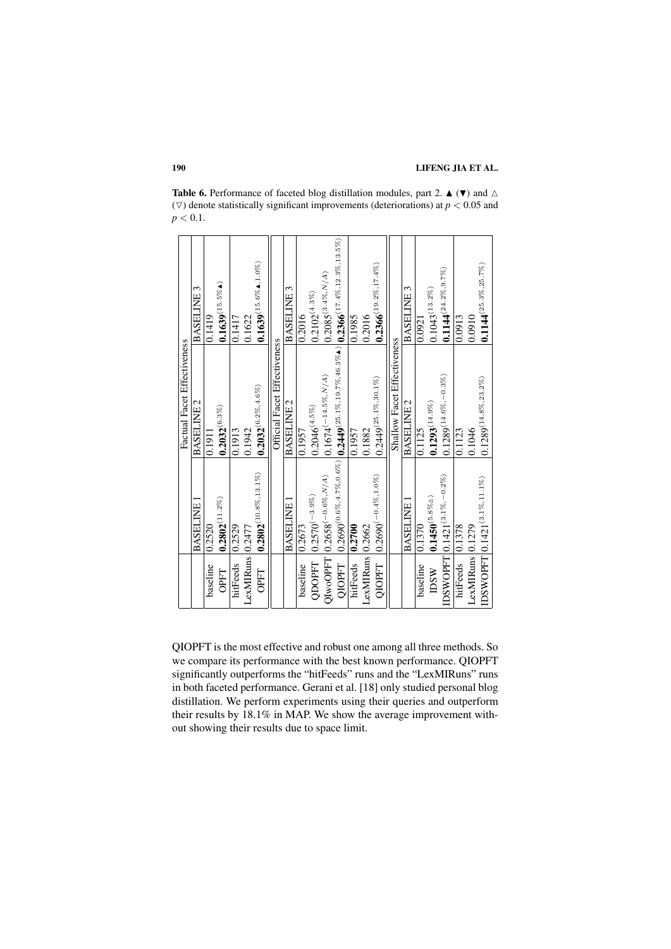**Table 6.** Performance of faceted blog distillation modules, part 2.  $\blacktriangle (\blacktriangledown)$  and  $\triangle$ ( $\nabla$ ) denote statistically significant improvements (deteriorations) at  $p < 0.05$  and  $p < 0.1$ .

|                             | BASELINE 3      | 0.1419   | $0.1639^{(15.5\%\text{A})}$ | 0.1417   | 0.1622           | $0.1639^{(15.6\%4,1.0\%)}$ |                              | BASELINE 3      | 0.2016   | $0.2102^{(4.3\%)}$ | $0.2085^{(3.4\%, N/A)}$             |                                                                                                        | 0.1985   | 0.2016           | $0.2366^{(19.2\%,17.4\%)}$  |                             | BASELINE 3      | 0.0921   | $0.1043^{(13.2\%)}$         | $0.1144^{(24.2\% , 9.7\%)}$              | 0.0913   | 0.0910           | $0.1144^{(25.3\%,25.7\%)}$                 |
|-----------------------------|-----------------|----------|-----------------------------|----------|------------------|----------------------------|------------------------------|-----------------|----------|--------------------|-------------------------------------|--------------------------------------------------------------------------------------------------------|----------|------------------|-----------------------------|-----------------------------|-----------------|----------|-----------------------------|------------------------------------------|----------|------------------|--------------------------------------------|
| Factual Facet Effectiveness | BASELINE 2      | 0.1911   | $0.2032^{(6.3\%)}$          | 0.1913   | 0.1942           | $0.2032^{(6.2\%,4.6\%)}$   | Official Facet Effectiveness | BASELINE 2      | 0.1957   | $0.2046^{(4.5\%)}$ | $0.1674(-14.5\%, N/A)$              | $0.2690^{(0.6\%, 4.7\%, 0.6\%)}[0.2449^{(25.1\%, 19.7\%, 46.3\%4)}[0.2366^{(17.4\%, 12.3\%, 13.5\%)}]$ | 0.1957   | 0.1882           | $0.2449^{(25.1\%,30.1\%)}$  | Shallow Facet Effectiveness | BASELINE 2      | 0.1125   | $0.1293^{(14.9\%)}$         | $0.1289^{(14.6\%,-0.3\%)}$               | 0.1123   | 0.1046           | $0.1289^{(14.8\%,23.2\%)}$                 |
|                             | <b>BASELINE</b> | 0.2520   | $0.2802^{(11.2\%)}$         | 0.2529   |                  | $0.2802^{(10.8\%,13.1\%)}$ |                              | <b>BASELINE</b> | 0.2673   | $0.2570(-3.9\%)$   | $QIwOOPT$ $ 0.2658^{(-0.6\%, N/A)}$ |                                                                                                        | 0.2700   |                  | $ 0.2690^{(-0.4\%, 1.0\%)}$ |                             | <b>BASELINE</b> | 0.1370   | $0.1450^{(5.8\%\triangle)}$ | IDSWOPFT $\vert 0.1421^{(3.1\%,-0.2\%)}$ | 0.1378   |                  | IDSWOPFT $\vert 0.1421^{(3.1\% , 11.1\%)}$ |
|                             |                 | baseline | <b>OPFT</b>                 | hitFeeds | LexMIRuns 0.2477 | <b>OPFT</b>                |                              |                 | baseline | QDOPFT             |                                     | <b>OIOPFT</b>                                                                                          | hitFeeds | LexMIRuns 0.2662 | <b>QIOPFT</b>               |                             |                 | baseline | <b>IDSW</b>                 |                                          | hitFeeds | LexMIRuns 0.1279 |                                            |

QIOPFT is the most effective and robust one among all three methods. So we compare its performance with the best known performance. QIOPFT significantly outperforms the "hitFeeds" runs and the "LexMIRuns" runs in both faceted performance. Gerani et al. [18] only studied personal blog distillation. We perform experiments using their queries and outperform their results by 18.1% in MAP. We show the average improvement without showing their results due to space limit.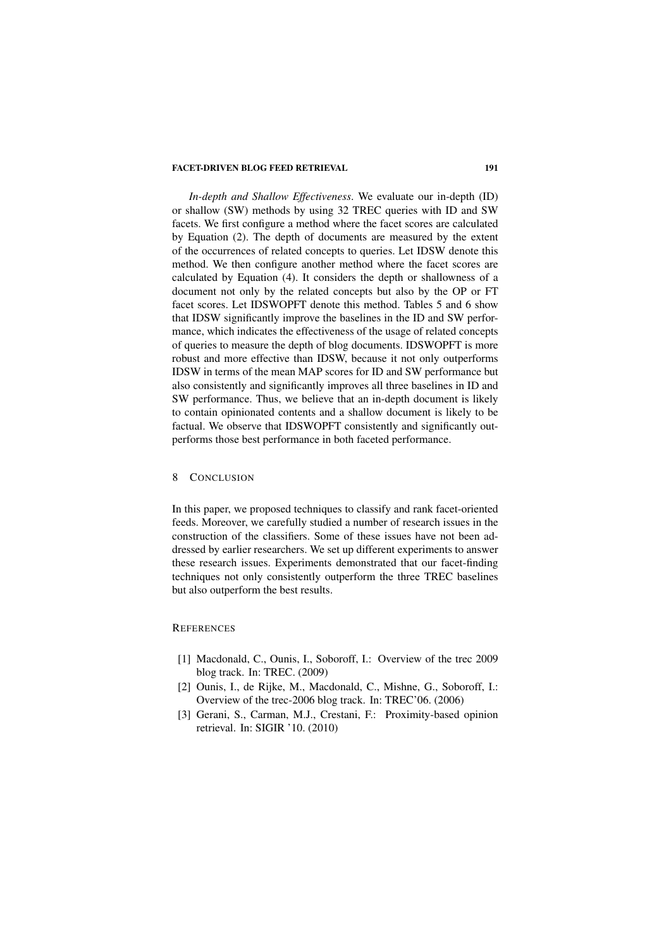*In-depth and Shallow Effectiveness*. We evaluate our in-depth (ID) or shallow (SW) methods by using 32 TREC queries with ID and SW facets. We first configure a method where the facet scores are calculated by Equation (2). The depth of documents are measured by the extent of the occurrences of related concepts to queries. Let IDSW denote this method. We then configure another method where the facet scores are calculated by Equation (4). It considers the depth or shallowness of a document not only by the related concepts but also by the OP or FT facet scores. Let IDSWOPFT denote this method. Tables 5 and 6 show that IDSW significantly improve the baselines in the ID and SW performance, which indicates the effectiveness of the usage of related concepts of queries to measure the depth of blog documents. IDSWOPFT is more robust and more effective than IDSW, because it not only outperforms IDSW in terms of the mean MAP scores for ID and SW performance but also consistently and significantly improves all three baselines in ID and SW performance. Thus, we believe that an in-depth document is likely to contain opinionated contents and a shallow document is likely to be factual. We observe that IDSWOPFT consistently and significantly outperforms those best performance in both faceted performance.

# 8 CONCLUSION

In this paper, we proposed techniques to classify and rank facet-oriented feeds. Moreover, we carefully studied a number of research issues in the construction of the classifiers. Some of these issues have not been addressed by earlier researchers. We set up different experiments to answer these research issues. Experiments demonstrated that our facet-finding techniques not only consistently outperform the three TREC baselines but also outperform the best results.

#### **REFERENCES**

- [1] Macdonald, C., Ounis, I., Soboroff, I.: Overview of the trec 2009 blog track. In: TREC. (2009)
- [2] Ounis, I., de Rijke, M., Macdonald, C., Mishne, G., Soboroff, I.: Overview of the trec-2006 blog track. In: TREC'06. (2006)
- [3] Gerani, S., Carman, M.J., Crestani, F.: Proximity-based opinion retrieval. In: SIGIR '10. (2010)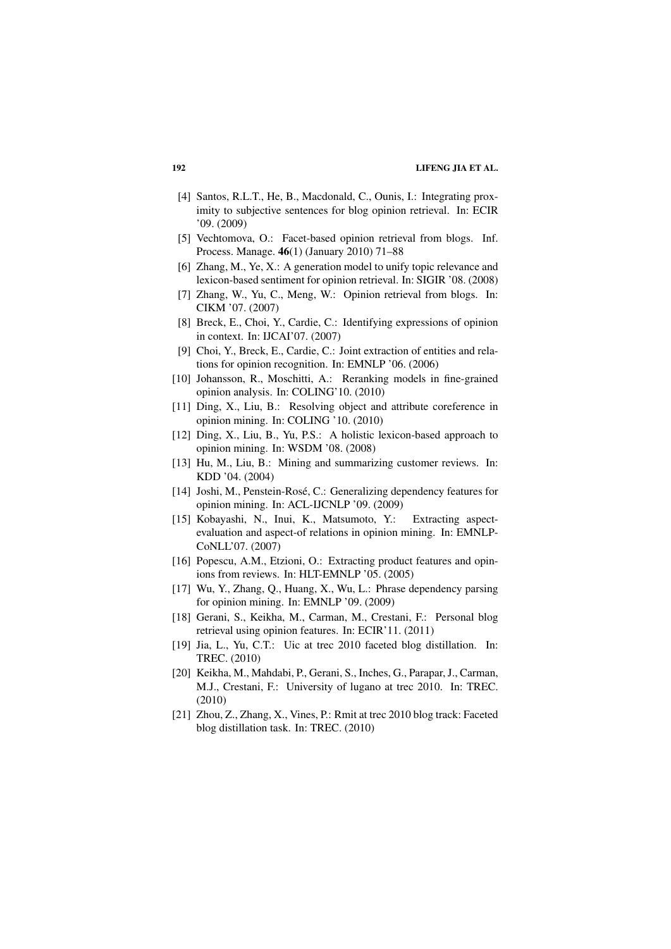- [4] Santos, R.L.T., He, B., Macdonald, C., Ounis, I.: Integrating proximity to subjective sentences for blog opinion retrieval. In: ECIR '09. (2009)
- [5] Vechtomova, O.: Facet-based opinion retrieval from blogs. Inf. Process. Manage. 46(1) (January 2010) 71–88
- [6] Zhang, M., Ye, X.: A generation model to unify topic relevance and lexicon-based sentiment for opinion retrieval. In: SIGIR '08. (2008)
- [7] Zhang, W., Yu, C., Meng, W.: Opinion retrieval from blogs. In: CIKM '07. (2007)
- [8] Breck, E., Choi, Y., Cardie, C.: Identifying expressions of opinion in context. In: IJCAI'07. (2007)
- [9] Choi, Y., Breck, E., Cardie, C.: Joint extraction of entities and relations for opinion recognition. In: EMNLP '06. (2006)
- [10] Johansson, R., Moschitti, A.: Reranking models in fine-grained opinion analysis. In: COLING'10. (2010)
- [11] Ding, X., Liu, B.: Resolving object and attribute coreference in opinion mining. In: COLING '10. (2010)
- [12] Ding, X., Liu, B., Yu, P.S.: A holistic lexicon-based approach to opinion mining. In: WSDM '08. (2008)
- [13] Hu, M., Liu, B.: Mining and summarizing customer reviews. In: KDD '04. (2004)
- [14] Joshi, M., Penstein-Rosé, C.: Generalizing dependency features for opinion mining. In: ACL-IJCNLP '09. (2009)
- [15] Kobayashi, N., Inui, K., Matsumoto, Y.: Extracting aspectevaluation and aspect-of relations in opinion mining. In: EMNLP-CoNLL'07. (2007)
- [16] Popescu, A.M., Etzioni, O.: Extracting product features and opinions from reviews. In: HLT-EMNLP '05. (2005)
- [17] Wu, Y., Zhang, Q., Huang, X., Wu, L.: Phrase dependency parsing for opinion mining. In: EMNLP '09. (2009)
- [18] Gerani, S., Keikha, M., Carman, M., Crestani, F.: Personal blog retrieval using opinion features. In: ECIR'11. (2011)
- [19] Jia, L., Yu, C.T.: Uic at trec 2010 faceted blog distillation. In: TREC. (2010)
- [20] Keikha, M., Mahdabi, P., Gerani, S., Inches, G., Parapar, J., Carman, M.J., Crestani, F.: University of lugano at trec 2010. In: TREC. (2010)
- [21] Zhou, Z., Zhang, X., Vines, P.: Rmit at trec 2010 blog track: Faceted blog distillation task. In: TREC. (2010)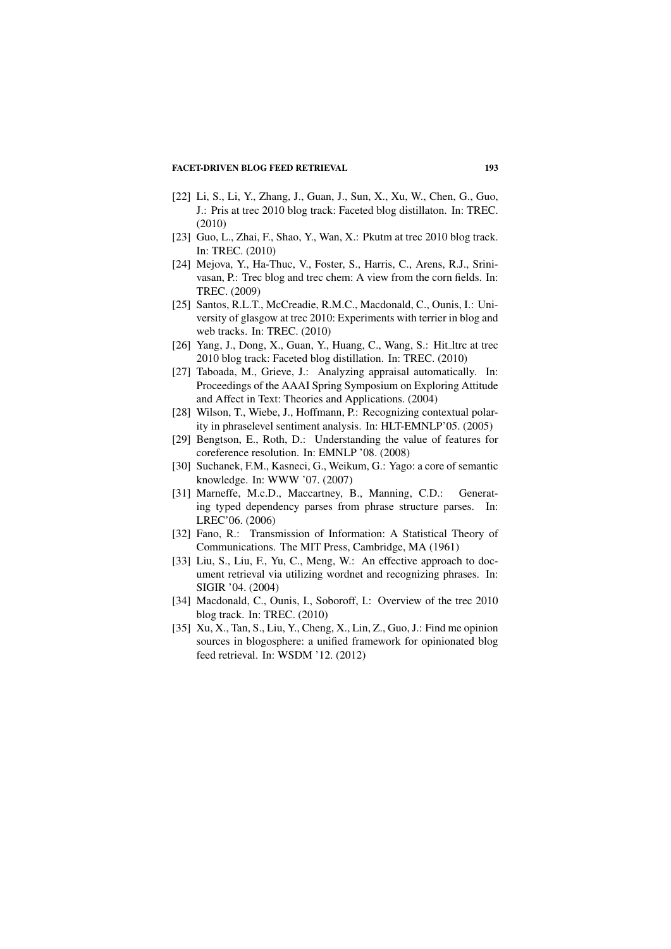- [22] Li, S., Li, Y., Zhang, J., Guan, J., Sun, X., Xu, W., Chen, G., Guo, J.: Pris at trec 2010 blog track: Faceted blog distillaton. In: TREC. (2010)
- [23] Guo, L., Zhai, F., Shao, Y., Wan, X.: Pkutm at trec 2010 blog track. In: TREC. (2010)
- [24] Mejova, Y., Ha-Thuc, V., Foster, S., Harris, C., Arens, R.J., Srinivasan, P.: Trec blog and trec chem: A view from the corn fields. In: TREC. (2009)
- [25] Santos, R.L.T., McCreadie, R.M.C., Macdonald, C., Ounis, I.: University of glasgow at trec 2010: Experiments with terrier in blog and web tracks. In: TREC. (2010)
- [26] Yang, J., Dong, X., Guan, Y., Huang, C., Wang, S.: Hit\_ltrc at trec 2010 blog track: Faceted blog distillation. In: TREC. (2010)
- [27] Taboada, M., Grieve, J.: Analyzing appraisal automatically. In: Proceedings of the AAAI Spring Symposium on Exploring Attitude and Affect in Text: Theories and Applications. (2004)
- [28] Wilson, T., Wiebe, J., Hoffmann, P.: Recognizing contextual polarity in phraselevel sentiment analysis. In: HLT-EMNLP'05. (2005)
- [29] Bengtson, E., Roth, D.: Understanding the value of features for coreference resolution. In: EMNLP '08. (2008)
- [30] Suchanek, F.M., Kasneci, G., Weikum, G.: Yago: a core of semantic knowledge. In: WWW '07. (2007)
- [31] Marneffe, M.c.D., Maccartney, B., Manning, C.D.: Generating typed dependency parses from phrase structure parses. In: LREC'06. (2006)
- [32] Fano, R.: Transmission of Information: A Statistical Theory of Communications. The MIT Press, Cambridge, MA (1961)
- [33] Liu, S., Liu, F., Yu, C., Meng, W.: An effective approach to document retrieval via utilizing wordnet and recognizing phrases. In: SIGIR '04. (2004)
- [34] Macdonald, C., Ounis, I., Soboroff, I.: Overview of the trec 2010 blog track. In: TREC. (2010)
- [35] Xu, X., Tan, S., Liu, Y., Cheng, X., Lin, Z., Guo, J.: Find me opinion sources in blogosphere: a unified framework for opinionated blog feed retrieval. In: WSDM '12. (2012)